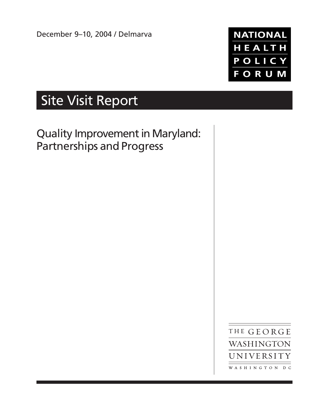December 9–10, 2004 / Delmarva



# Site Visit Report

Quality Improvement in Maryland: Partnerships and Progress

> THE GEORGE WASHINGTON UNIVERSITY WASHINGTON DC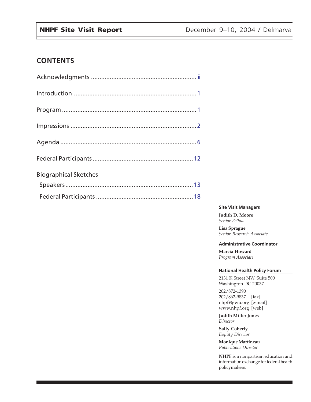# **CONTENTS**

| Biographical Sketches - |
|-------------------------|
|                         |
|                         |

#### **Site Visit Managers**

**Judith D. Moore** *Senior Fellow*

**Lisa Sprague** *Senior Research Associate*

#### **Administrative Coordinator**

**Marcia Howard** *Program Associate*

#### **National Health Policy Forum**

2131 K Street NW, Suite 500 Washington DC 20037

202/872-1390 202/862-9837 [fax] nhpf@gwu.org [e-mail] www.nhpf.org [web]

**Judith Miller Jones** *Director*

**Sally Coberly** *Deputy Director*

**Monique Martineau** *Publications Director*

**NHPF** is a nonpartisan education and information exchange for federal health policymakers.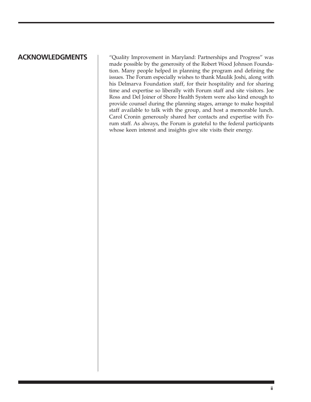# <span id="page-2-0"></span>**ACKNOWLEDGMENTS**

"Quality Improvement in Maryland: Partnerships and Progress" was made possible by the generosity of the Robert Wood Johnson Foundation. Many people helped in planning the program and defining the issues. The Forum especially wishes to thank Maulik Joshi, along with his Delmarva Foundation staff, for their hospitality and for sharing time and expertise so liberally with Forum staff and site visitors. Joe Ross and Del Joiner of Shore Health System were also kind enough to provide counsel during the planning stages, arrange to make hospital staff available to talk with the group, and host a memorable lunch. Carol Cronin generously shared her contacts and expertise with Forum staff. As always, the Forum is grateful to the federal participants whose keen interest and insights give site visits their energy.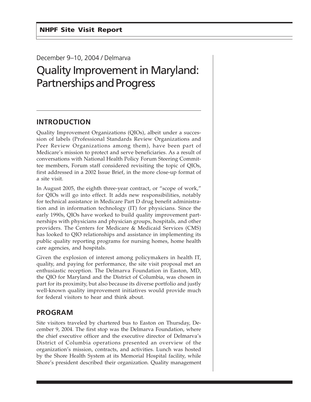# <span id="page-3-0"></span>December 9–10, 2004 / Delmarva

# Quality Improvement in Maryland: Partnerships and Progress

# **INTRODUCTION**

Quality Improvement Organizations (QIOs), albeit under a succession of labels (Professional Standards Review Organizations and Peer Review Organizations among them), have been part of Medicare's mission to protect and serve beneficiaries. As a result of conversations with National Health Policy Forum Steering Committee members, Forum staff considered revisiting the topic of QIOs, first addressed in a 2002 Issue Brief, in the more close-up format of a site visit.

In August 2005, the eighth three-year contract, or "scope of work," for QIOs will go into effect. It adds new responsibilities, notably for technical assistance in Medicare Part D drug benefit administration and in information technology (IT) for physicians. Since the early 1990s, QIOs have worked to build quality improvement partnerships with physicians and physician groups, hospitals, and other providers. The Centers for Medicare & Medicaid Services (CMS) has looked to QIO relationships and assistance in implementing its public quality reporting programs for nursing homes, home health care agencies, and hospitals.

Given the explosion of interest among policymakers in health IT, quality, and paying for performance, the site visit proposal met an enthusiastic reception. The Delmarva Foundation in Easton, MD, the QIO for Maryland and the District of Columbia, was chosen in part for its proximity, but also because its diverse portfolio and justly well-known quality improvement initiatives would provide much for federal visitors to hear and think about.

# **PROGRAM**

Site visitors traveled by chartered bus to Easton on Thursday, December 9, 2004. The first stop was the Delmarva Foundation, where the chief executive officer and the executive director of Delmarva's District of Columbia operations presented an overview of the organization's mission, contracts, and activities. Lunch was hosted by the Shore Health System at its Memorial Hospital facility, while Shore's president described their organization. Quality management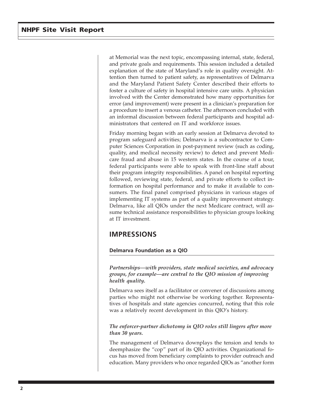<span id="page-4-0"></span>at Memorial was the next topic, encompassing internal, state, federal, and private goals and requirements. This session included a detailed explanation of the state of Maryland's role in quality oversight. Attention then turned to patient safety, as representatives of Delmarva and the Maryland Patient Safety Center described their efforts to foster a culture of safety in hospital intensive care units. A physician involved with the Center demonstrated how many opportunities for error (and improvement) were present in a clinician's preparation for a procedure to insert a venous catheter. The afternoon concluded with an informal discussion between federal participants and hospital administrators that centered on IT and workforce issues.

Friday morning began with an early session at Delmarva devoted to program safeguard activities; Delmarva is a subcontractor to Computer Sciences Corporation in post-payment review (such as coding, quality, and medical necessity review) to detect and prevent Medicare fraud and abuse in 15 western states. In the course of a tour, federal participants were able to speak with front-line staff about their program integrity responsibilities. A panel on hospital reporting followed, reviewing state, federal, and private efforts to collect information on hospital performance and to make it available to consumers. The final panel comprised physicians in various stages of implementing IT systems as part of a quality improvement strategy. Delmarva, like all QIOs under the next Medicare contract, will assume technical assistance responsibilities to physician groups looking at IT investment.

# **IMPRESSIONS**

#### **Delmarva Foundation as a QIO**

*Partnerships—with providers, state medical societies, and advocacy groups, for example—are central to the QIO mission of improving health quality.*

Delmarva sees itself as a facilitator or convener of discussions among parties who might not otherwise be working together. Representatives of hospitals and state agencies concurred, noting that this role was a relatively recent development in this QIO's history.

#### *The enforcer-partner dichotomy in QIO roles still lingers after more than 30 years.*

The management of Delmarva downplays the tension and tends to deemphasize the "cop" part of its QIO activities. Organizational focus has moved from beneficiary complaints to provider outreach and education. Many providers who once regarded QIOs as "another form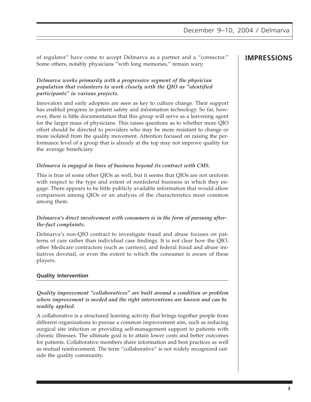of regulator" have come to accept Delmarva as a partner and a "connector." **IMPRESSIONS** Some others, notably physicians "with long memories," remain wary.

### *Delmarva works primarily with a progressive segment of the physician population that volunteers to work closely with the QIO as "identified participants" in various projects.*

Innovators and early adopters are seen as key to culture change. Their support has enabled progress in patient safety and information technology. So far, however, there is little documentation that this group will serve as a leavening agent for the larger mass of physicians. This raises questions as to whether more QIO effort should be directed to providers who may be more resistant to change or more isolated from the quality movement. Attention focused on raising the performance level of a group that is already at the top may not improve quality for the average beneficiary.

## *Delmarva is engaged in lines of business beyond its contract with CMS.*

This is true of some other QIOs as well, but it seems that QIOs are not uniform with respect to the type and extent of nonfederal business in which they engage. There appears to be little publicly available information that would allow comparison among QIOs or an analysis of the characteristics most common among them.

### *Delmarva's direct involvement with consumers is in the form of pursuing afterthe-fact complaints.*

Delmarva's non-QIO contract to investigate fraud and abuse focuses on patterns of care rather than individual case findings. It is not clear how the QIO, other Medicare contractors (such as carriers), and federal fraud and abuse initiatives dovetail, or even the extent to which the consumer is aware of these players.

# **Quality Intervention**

*Quality improvement "collaboratives" are built around a condition or problem where improvement is needed and the right interventions are known and can be readily applied.*

A collaborative is a structured learning activity that brings together people from different organizations to pursue a common improvement aim, such as reducing surgical site infection or providing self-management support to patients with chronic illnesses. The ultimate goal is to attain lower costs and better outcomes for patients. Collaborative members share information and best practices as well as mutual reinforcement. The term "collaborative" is not widely recognized outside the quality community.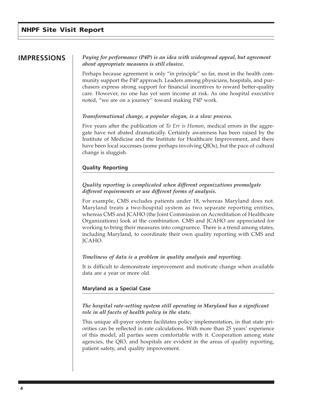**IMPRESSIONS** *Paying for performance (P4P) is an idea with widespread appeal, but agreement about appropriate measures is still elusive.*

> Perhaps because agreement is only "in principle" so far, most in the health community support the P4P approach. Leaders among physicians, hospitals, and purchasers express strong support for financial incentives to reward better-quality care. However, no one has yet seen income at risk. As one hospital executive noted, "we are on a journey" toward making P4P work.

#### *Transformational change, a popular slogan, is a slow process.*

Five years after the publication of *To Err is Human*, medical errors in the aggregate have not abated dramatically. Certainly awareness has been raised by the Institute of Medicine and the Institute for Healthcare Improvement, and there have been local successes (some perhaps involving QIOs), but the pace of cultural change is sluggish.

#### **Quality Reporting**

#### *Quality reporting is complicated when different organizations promulgate different requirements or use different forms of analysis.*

For example, CMS excludes patients under 18, whereas Maryland does not. Maryland treats a two-hospital system as two separate reporting entities, whereas CMS and JCAHO (the Joint Commission on Accreditation of Healthcare Organizations) look at the combination. CMS and JCAHO are appreciated for working to bring their measures into congruence. There is a trend among states, including Maryland, to coordinate their own quality reporting with CMS and JCAHO.

#### *Timeliness of data is a problem in quality analysis and reporting.*

It is difficult to demonstrate improvement and motivate change when available data are a year or more old.

#### **Maryland as a Special Case**

#### *The hospital rate-setting system still operating in Maryland has a significant role in all facets of health policy in the state.*

This unique all-payer system facilitates policy implementation, in that state priorities can be reflected in rate calculations. With more than 25 years' experience of this model, all parties seem comfortable with it. Cooperation among state agencies, the QIO, and hospitals are evident in the areas of quality reporting, patient safety, and quality improvement.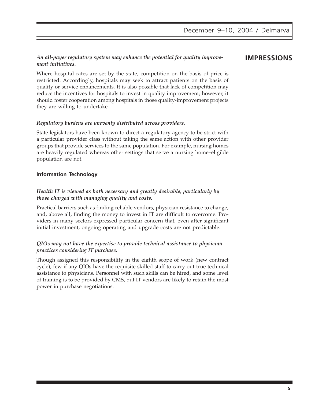### *An all-payer regulatory system may enhance the potential for quality improve-* **IMPRESSIONS** *ment initiatives.*

Where hospital rates are set by the state, competition on the basis of price is restricted. Accordingly, hospitals may seek to attract patients on the basis of quality or service enhancements. It is also possible that lack of competition may reduce the incentives for hospitals to invest in quality improvement; however, it should foster cooperation among hospitals in those quality-improvement projects they are willing to undertake.

#### *Regulatory burdens are unevenly distributed across providers.*

State legislators have been known to direct a regulatory agency to be strict with a particular provider class without taking the same action with other provider groups that provide services to the same population. For example, nursing homes are heavily regulated whereas other settings that serve a nursing home–eligible population are not.

### **Information Technology**

### *Health IT is viewed as both necessary and greatly desirable, particularly by those charged with managing quality and costs.*

Practical barriers such as finding reliable vendors, physician resistance to change, and, above all, finding the money to invest in IT are difficult to overcome. Providers in many sectors expressed particular concern that, even after significant initial investment, ongoing operating and upgrade costs are not predictable.

#### *QIOs may not have the expertise to provide technical assistance to physician practices considering IT purchase.*

Though assigned this responsibility in the eighth scope of work (new contract cycle), few if any QIOs have the requisite skilled staff to carry out true technical assistance to physicians. Personnel with such skills can be hired, and some level of training is to be provided by CMS, but IT vendors are likely to retain the most power in purchase negotiations.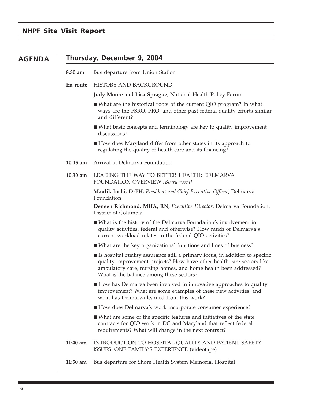# <span id="page-8-0"></span>**NHPF Site Visit Report**

| <b>AGENDA</b> | Thursday, December 9, 2004 |                                                                                                                                                                                                                                                                        |  |  |
|---------------|----------------------------|------------------------------------------------------------------------------------------------------------------------------------------------------------------------------------------------------------------------------------------------------------------------|--|--|
|               | 8:30 am                    | Bus departure from Union Station                                                                                                                                                                                                                                       |  |  |
|               | En route                   | HISTORY AND BACKGROUND                                                                                                                                                                                                                                                 |  |  |
|               |                            | <b>Judy Moore and Lisa Sprague, National Health Policy Forum</b>                                                                                                                                                                                                       |  |  |
|               |                            | ■ What are the historical roots of the current QIO program? In what<br>ways are the PSRO, PRO, and other past federal quality efforts similar<br>and different?                                                                                                        |  |  |
|               |                            | ■ What basic concepts and terminology are key to quality improvement<br>discussions?                                                                                                                                                                                   |  |  |
|               |                            | ■ How does Maryland differ from other states in its approach to<br>regulating the quality of health care and its financing?                                                                                                                                            |  |  |
|               | $10:15$ am                 | Arrival at Delmarva Foundation                                                                                                                                                                                                                                         |  |  |
|               | 10:30 am                   | LEADING THE WAY TO BETTER HEALTH: DELMARVA<br>FOUNDATION OVERVIEW [Board room]                                                                                                                                                                                         |  |  |
|               |                            | Maulik Joshi, DrPH, President and Chief Executive Officer, Delmarva<br>Foundation                                                                                                                                                                                      |  |  |
|               |                            | Deneen Richmond, MHA, RN, Executive Director, Delmarva Foundation,<br>District of Columbia                                                                                                                                                                             |  |  |
|               |                            | ■ What is the history of the Delmarva Foundation's involvement in<br>quality activities, federal and otherwise? How much of Delmarva's<br>current workload relates to the federal QIO activities?                                                                      |  |  |
|               |                            | ■ What are the key organizational functions and lines of business?                                                                                                                                                                                                     |  |  |
|               |                            | ■ Is hospital quality assurance still a primary focus, in addition to specific<br>quality improvement projects? How have other health care sectors like<br>ambulatory care, nursing homes, and home health been addressed?<br>What is the balance among these sectors? |  |  |
|               |                            | ■ How has Delmarva been involved in innovative approaches to quality<br>improvement? What are some examples of these new activities, and<br>what has Delmarva learned from this work?                                                                                  |  |  |
|               |                            | How does Delmarva's work incorporate consumer experience?                                                                                                                                                                                                              |  |  |
|               |                            | ■ What are some of the specific features and initiatives of the state<br>contracts for QIO work in DC and Maryland that reflect federal<br>requirements? What will change in the next contract?                                                                        |  |  |
|               | 11:40 am                   | INTRODUCTION TO HOSPITAL QUALITY AND PATIENT SAFETY<br>ISSUES: ONE FAMILY'S EXPERIENCE (videotape)                                                                                                                                                                     |  |  |
|               | $11:50$ am                 | Bus departure for Shore Health System Memorial Hospital                                                                                                                                                                                                                |  |  |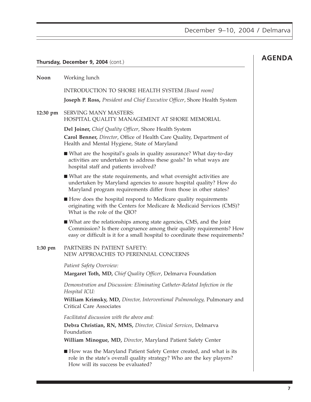|          | Thursday, December 9, 2004 (cont.)                                                                                                                                                                                               | <b>AGENDA</b> |
|----------|----------------------------------------------------------------------------------------------------------------------------------------------------------------------------------------------------------------------------------|---------------|
| Noon     | Working lunch                                                                                                                                                                                                                    |               |
|          | INTRODUCTION TO SHORE HEALTH SYSTEM [Board room]                                                                                                                                                                                 |               |
|          | Joseph P. Ross, President and Chief Executive Officer, Shore Health System                                                                                                                                                       |               |
| 12:30 pm | <b>SERVING MANY MASTERS:</b><br>HOSPITAL QUALITY MANAGEMENT AT SHORE MEMORIAL                                                                                                                                                    |               |
|          | Del Joiner, Chief Quality Officer, Shore Health System<br>Carol Benner, Director, Office of Health Care Quality, Department of<br>Health and Mental Hygiene, State of Maryland                                                   |               |
|          | ■ What are the hospital's goals in quality assurance? What day-to-day<br>activities are undertaken to address these goals? In what ways are<br>hospital staff and patients involved?                                             |               |
|          | ■ What are the state requirements, and what oversight activities are<br>undertaken by Maryland agencies to assure hospital quality? How do<br>Maryland program requirements differ from those in other states?                   |               |
|          | How does the hospital respond to Medicare quality requirements<br>originating with the Centers for Medicare & Medicaid Services (CMS)?<br>What is the role of the QIO?                                                           |               |
|          | ■ What are the relationships among state agencies, CMS, and the Joint<br>Commission? Is there congruence among their quality requirements? How<br>easy or difficult is it for a small hospital to coordinate these requirements? |               |
| 1:30 pm  | PARTNERS IN PATIENT SAFETY:<br>NEW APPROACHES TO PERENNIAL CONCERNS                                                                                                                                                              |               |
|          | Patient Safety Overview:                                                                                                                                                                                                         |               |
|          | Margaret Toth, MD, Chief Quality Officer, Delmarva Foundation                                                                                                                                                                    |               |
|          | Demonstration and Discussion: Eliminating Catheter-Related Infection in the<br>Hospital ICU:                                                                                                                                     |               |
|          | William Krimsky, MD, Director, Interventional Pulmonology, Pulmonary and<br><b>Critical Care Associates</b>                                                                                                                      |               |
|          | Facilitated discussion with the above and:                                                                                                                                                                                       |               |
|          | Debra Christian, RN, MMS, Director, Clinical Services, Delmarva<br>Foundation                                                                                                                                                    |               |
|          | William Minogue, MD, Director, Maryland Patient Safety Center                                                                                                                                                                    |               |
|          | How was the Maryland Patient Safety Center created, and what is its<br>role in the state's overall quality strategy? Who are the key players?<br>How will its success be evaluated?                                              |               |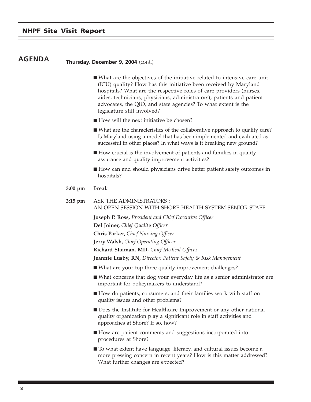## **NHPF Site Visit Report**

# **AGENDA**

#### **Thursday, December 9, 2004** (cont.)

- What are the objectives of the initiative related to intensive care unit (ICU) quality? How has this initiative been received by Maryland hospitals? What are the respective roles of care providers (nurses, aides, technicians, physicians, administrators), patients and patient advocates, the QIO, and state agencies? To what extent is the legislature still involved?
- How will the next initiative be chosen?
- What are the characteristics of the collaborative approach to quality care? Is Maryland using a model that has been implemented and evaluated as successful in other places? In what ways is it breaking new ground?
- How crucial is the involvement of patients and families in quality assurance and quality improvement activities?
- How can and should physicians drive better patient safety outcomes in hospitals?

#### **3:00 pm** Break

# **3:15 pm** ASK THE ADMINISTRATORS : AN OPEN SESSION WITH SHORE HEALTH SYSTEM SENIOR STAFF

**Joseph P. Ross,** *President and Chief Executive Officer*

**Del Joiner,** *Chief Quality Officer*

**Chris Parker,** *Chief Nursing Officer*

**Jerry Walsh,** *Chief Operating Officer*

**Richard Staiman, MD,** *Chief Medical Office*r

**Jeannie Lusby, RN,** *Director, Patient Safety & Risk Management*

- What are your top three quality improvement challenges?
- What concerns that dog your everyday life as a senior administrator are important for policymakers to understand?
- How do patients, consumers, and their families work with staff on quality issues and other problems?
- Does the Institute for Healthcare Improvement or any other national quality organization play a significant role in staff activities and approaches at Shore? If so, how?
- How are patient comments and suggestions incorporated into procedures at Shore?
- To what extent have language, literacy, and cultural issues become a more pressing concern in recent years? How is this matter addressed? What further changes are expected?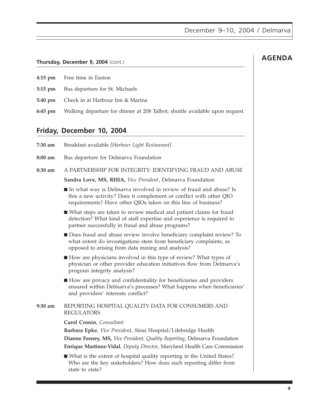### **Thursday, December 9, 2004** (cont.)

- **4:15 pm** Free time in Easton
- **5:15 pm** Bus departure for St. Michaels
- **5:40 pm** Check in at Harbour Inn & Marina
- **6:45 pm** Walking departure for dinner at 208 Talbot; shuttle available upon request

# **Friday, December 10, 2004**

**7:30 am** Breakfast available *[Harbour Light Restaurant]*

**8:00 am** Bus departure for Delmarva Foundation

**8:30 am** A PARTNERSHIP FOR INTEGRITY: IDENTIFYING FRAUD AND ABUSE

**Sandra Love, MS, RHIA,** *Vice President*, Delmarva Foundation

- In what way is Delmarva involved in review of fraud and abuse? Is this a new activity? Does it complement or conflict with other QIO requirements? Have other QIOs taken on this line of business?
- What steps are taken to review medical and patient claims for fraud detection? What kind of staff expertise and experience is required to partner successfully in fraud and abuse programs?
- Does fraud and abuse review involve beneficiary complaint review? To what extent do investigations stem from beneficiary complaints, as opposed to arising from data mining and analysis?
- How are physicians involved in this type of review? What types of physician or other provider education initiatives flow from Delmarva's program integrity analysis?
- How are privacy and confidentiality for beneficiaries and providers ensured within Delmarva's processes? What happens when beneficiaries' and providers' interests conflict?

### **9:30 am** REPORTING HOSPITAL QUALITY DATA FOR CONSUMERS AND REGULATORS

### **Carol Cronin**, *Consultant*

**Barbara Epke**, *Vice President*, Sinai Hospital/Lifebridge Health **Dianne Feeney, MS,** *Vice President, Quality Reporting*, Delmarva Foundation **Enrique Martinez-Vidal**, *Deputy Director*, Maryland Health Care Commission

■ What is the extent of hospital quality reporting in the United States? Who are the key stakeholders? How does such reporting differ from state to state?

# **AGENDA**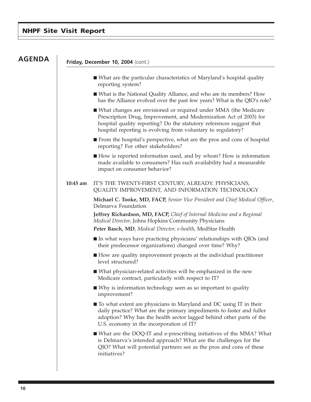# **NHPF Site Visit Report**

# **AGENDA**

#### **Friday, December 10, 2004** (cont.)

- What are the particular characteristics of Maryland's hospital quality reporting system?
- What is the National Quality Alliance, and who are its members? How has the Alliance evolved over the past few years? What is the QIO's role?
- What changes are envisioned or required under MMA (the Medicare Prescription Drug, Improvement, and Modernization Act of 2003) for hospital quality reporting? Do the statutory references suggest that hospital reporting is evolving from voluntary to regulatory?
- From the hospital's perspective, what are the pros and cons of hospital reporting? For other stakeholders?
- How is reported information used, and by whom? How is information made available to consumers? Has such availability had a measurable impact on consumer behavior?

#### **10:45 am** IT'S THE TWENTY-FIRST CENTURY, ALREADY: PHYSICIANS, QUALITY IMPROVEMENT, AND INFORMATION TECHNOLOGY

**Michael C. Tooke, MD, FACP,** *Senior Vice President and Chief Medical Officer*, Delmarva Foundation

**Jeffrey Richardson, MD, FACP,** *Chief of Internal Medicine and a Regional Medical Director*, Johns Hopkins Community Physicians

**Peter Basch, MD**, *Medical Director, e-health*, MedStar Health

- In what ways have practicing physicians' relationships with QIOs (and their predecessor organizations) changed over time? Why?
- How are quality improvement projects at the individual practitioner level structured?
- What physician-related activities will be emphasized in the new Medicare contract, particularly with respect to IT?
- Why is information technology seen as so important to quality improvement?
- To what extent are physicians in Maryland and DC using IT in their daily practice? What are the primary impediments to faster and fuller adoption? Why has the health sector lagged behind other parts of the U.S. economy in the incorporation of IT?
- What are the DOQ-IT and e-prescribing initiatives of the MMA? What is Delmarva's intended approach? What are the challenges for the QIO? What will potential partners see as the pros and cons of these initiatives?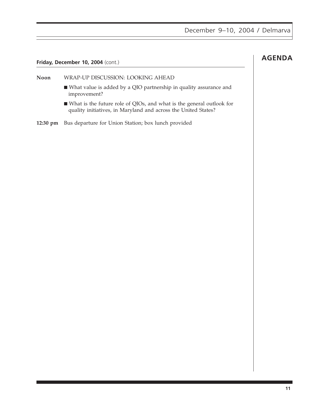# **Friday, December 10, 2004** (cont.) **AGENDA**

**Noon** WRAP-UP DISCUSSION: LOOKING AHEAD

- What value is added by a QIO partnership in quality assurance and improvement?
- What is the future role of QIOs, and what is the general outlook for quality initiatives, in Maryland and across the United States?
- **12:30 pm** Bus departure for Union Station; box lunch provided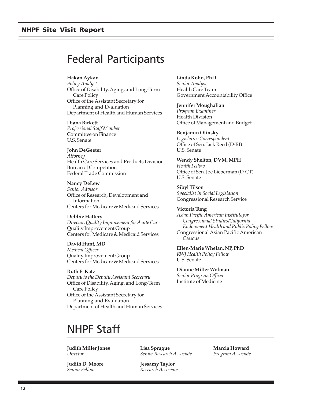### <span id="page-14-0"></span>**NHPF Site Visit Report**

# Federal Participants

#### **Hakan Aykan**

*Policy Analyst* Office of Disability, Aging, and Long-Term Care Policy Office of the Assistant Secretary for Planning and Evaluation Department of Health and Human Services

#### **Diana Birkett**

*Professional Staff Member* Committee on Finance U.S. Senate

#### **John DeGeeter**

*Attorney* Health Care Services and Products Division Bureau of Competition Federal Trade Commission

**Nancy DeLew** *Senior Advisor* Office of Research, Development and Information Centers for Medicare & Medicaid Services

#### **Debbie Hattery**

*Director, Quality Improvement for Acute Care* Quality Improvement Group Centers for Medicare & Medicaid Services

**David Hunt, MD** *Medical Officer* Quality Improvement Group Centers for Medicare & Medicaid Services

**Ruth E. Katz** *Deputy to the Deputy Assistant Secretary* Office of Disability, Aging, and Long-Term Care Policy Office of the Assistant Secretary for Planning and Evaluation Department of Health and Human Services

#### **Linda Kohn, PhD**

*Senior Analyst* Health Care Team Government Accountability Office

**Jennifer Moughalian**

*Program Examiner* Health Division Office of Management and Budget

#### **Benjamin Olinsky**

*Legislative Correspondent* Office of Sen. Jack Reed (D-RI) U.S. Senate

**Wendy Shelton, DVM, MPH** *Health Fellow* Office of Sen. Joe Lieberman (D-CT) U.S. Senate

**Sibyl Tilson** *Specialist in Social Legislation* Congressional Research Service

#### **Victoria Tung**

*Asian Pacific American Institute for Congressional Studies/California Endowment Health and Public Policy Fellow* Congressional Asian Pacific American Caucus

**Ellen-Marie Whelan, NP, PhD** *RWJ Health Policy Fellow*

U.S. Senate

**Dianne Miller Wolman** *Senior Program Officer* Institute of Medicine

# NHPF Staff

**Judith Miller Jones** *Director*

**Judith D. Moore** *Senior Fellow*

**Lisa Sprague** *Senior Research Associate*

**Marcia Howard** *Program Associate*

**Jessamy Taylor** *Research Associate*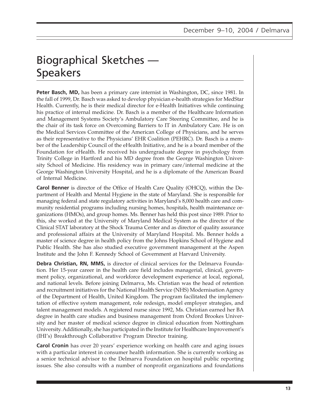# <span id="page-15-0"></span>Biographical Sketches — Speakers

**Peter Basch, MD,** has been a primary care internist in Washington, DC, since 1981. In the fall of 1999, Dr. Basch was asked to develop physician e-health strategies for MedStar Health. Currently, he is their medical director for e-Health Initiatives while continuing his practice of internal medicine. Dr. Basch is a member of the Healthcare Information and Management Systems Society's Ambulatory Care Steering Committee, and he is the chair of its task force on Overcoming Barriers to IT in Ambulatory Care. He is on the Medical Services Committee of the American College of Physicians, and he serves as their representative to the Physicians' EHR Coalition (PEHRC). Dr. Basch is a member of the Leadership Council of the eHealth Initiative, and he is a board member of the Foundation for eHealth. He received his undergraduate degree in psychology from Trinity College in Hartford and his MD degree from the George Washington University School of Medicine. His residency was in primary care/internal medicine at the George Washington University Hospital, and he is a diplomate of the American Board of Internal Medicine.

**Carol Benner** is director of the Office of Health Care Quality (OHCQ), within the Department of Health and Mental Hygiene in the state of Maryland. She is responsible for managing federal and state regulatory activities in Maryland's 8,000 health care and community residential programs including nursing homes, hospitals, health maintenance organizations (HMOs), and group homes. Ms. Benner has held this post since 1989. Prior to this, she worked at the University of Maryland Medical System as the director of the Clinical STAT laboratory at the Shock Trauma Center and as director of quality assurance and professional affairs at the University of Maryland Hospital. Ms. Benner holds a master of science degree in health policy from the Johns Hopkins School of Hygiene and Public Health. She has also studied executive government management at the Aspen Institute and the John F. Kennedy School of Government at Harvard University.

**Debra Christian, RN, MMS,** is director of clinical services for the Delmarva Foundation. Her 15-year career in the health care field includes managerial, clinical, government policy, organizational, and workforce development experience at local, regional, and national levels. Before joining Delmarva, Ms. Christian was the head of retention and recruitment initiatives for the National Health Service (NHS) Modernisation Agency of the Department of Health, United Kingdom. The program facilitated the implementation of effective system management, role redesign, model employer strategies, and talent management models. A registered nurse since 1992, Ms. Christian earned her BA degree in health care studies and business management from Oxford Brookes University and her master of medical science degree in clinical education from Nottingham University. Additionally, she has participated in the Institute for Healthcare Improvement's (IHI's) Breakthrough Collaborative Program Director training.

**Carol Cronin** has over 20 years' experience working on health care and aging issues with a particular interest in consumer health information. She is currently working as a senior technical advisor to the Delmarva Foundation on hospital public reporting issues. She also consults with a number of nonprofit organizations and foundations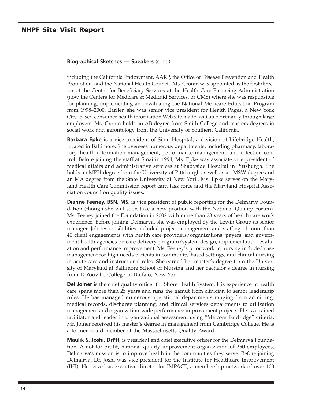including the California Endowment, AARP, the Office of Disease Prevention and Health Promotion, and the National Health Council. Ms. Cronin was appointed as the first director of the Center for Beneficiary Services at the Health Care Financing Administration (now the Centers for Medicare & Medicaid Services, or CMS) where she was responsible for planning, implementing and evaluating the National Medicare Education Program from 1998–2000. Earlier, she was senior vice president for Health Pages, a New York City–based consumer health information Web site made available primarily through large employers. Ms. Cronin holds an AB degree from Smith College and masters degrees in social work and gerontology from the University of Southern California.

**Barbara Epke** is a vice president of Sinai Hospital, a division of Lifebridge Health, located in Baltimore. She oversees numerous departments, including pharmacy, laboratory, health information management, performance management, and infection control. Before joining the staff at Sinai in 1994, Ms. Epke was associate vice president of medical affairs and administrative services at Shadyside Hospital in Pittsburgh. She holds an MPH degree from the University of Pittsburgh as well as an MSW degree and an MA degree from the State University of New York. Ms. Epke serves on the Maryland Health Care Commission report card task force and the Maryland Hospital Association council on quality issues.

**Dianne Feeney, BSN, MS,** is vice president of public reporting for the Delmarva Foundation (though she will soon take a new position with the National Quality Forum). Ms. Feeney joined the Foundation in 2002 with more than 23 years of health care work experience. Before joining Delmarva, she was employed by the Lewin Group as senior manager. Job responsibilities included project management and staffing of more than 40 client engagements with health care providers/organizations, payers, and government health agencies on care delivery program/system design, implementation, evaluation and performance improvement. Ms. Feeney's prior work in nursing included case management for high needs patients in community-based settings, and clinical nursing in acute care and instructional roles. She earned her master's degree from the University of Maryland at Baltimore School of Nursing and her bachelor's degree in nursing from D'Youville College in Buffalo, New York.

**Del Joiner** is the chief quality officer for Shore Health System. His experience in health care spans more than 25 years and runs the gamut from clinician to senior leadership roles. He has managed numerous operational departments ranging from admitting, medical records, discharge planning, and clinical services departments to utilization management and organization-wide performance improvement projects. He is a trained facilitator and leader in organizational assessment using "Malcom Baldridge" criteria. Mr. Joiner received his master's degree in management from Cambridge College. He is a former board member of the Massachusetts Quality Award.

**Maulik S. Joshi, DrPH,** is president and chief executive officer for the Delmarva Foundation. A not-for-profit, national quality improvement organization of 250 employees, Delmarva's mission is to improve health in the communities they serve. Before joining Delmarva, Dr. Joshi was vice president for the Institute for Healthcare Improvement (IHI). He served as executive director for IMPACT, a membership network of over 100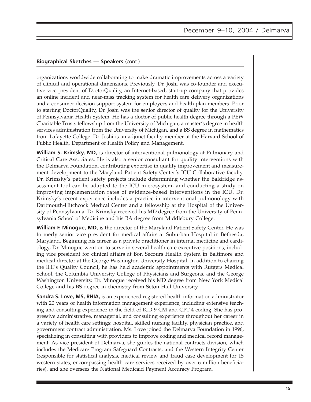organizations worldwide collaborating to make dramatic improvements across a variety of clinical and operational dimensions. Previously, Dr. Joshi was co-founder and executive vice president of DoctorQuality, an Internet-based, start-up company that provides an online incident and near-miss tracking system for health care delivery organizations and a consumer decision support system for employees and health plan members. Prior to starting DoctorQuality, Dr. Joshi was the senior director of quality for the University of Pennsylvania Health System. He has a doctor of public health degree through a PEW Charitable Trusts fellowship from the University of Michigan, a master's degree in health services administration from the University of Michigan, and a BS degree in mathematics from Lafayette College. Dr. Joshi is an adjunct faculty member at the Harvard School of Public Health, Department of Health Policy and Management.

**William S. Krimsky, MD,** is director of interventional pulmonology at Pulmonary and Critical Care Associates. He is also a senior consultant for quality interventions with the Delmarva Foundation, contributing expertise in quality improvement and measurement development to the Maryland Patient Safety Center's ICU Collaborative faculty. Dr. Krimsky's patient safety projects include determining whether the Baldridge assessment tool can be adapted to the ICU microsystem, and conducting a study on improving implementation rates of evidence-based interventions in the ICU. Dr. Krimsky's recent experience includes a practice in interventional pulmonology with Dartmouth-Hitchcock Medical Center and a fellowship at the Hospital of the University of Pennsylvania. Dr. Krimsky received his MD degree from the University of Pennsylvania School of Medicine and his BA degree from Middlebury College.

**William F. Minogue, MD,** is the director of the Maryland Patient Safety Center. He was formerly senior vice president for medical affairs at Suburban Hospital in Bethesda, Maryland. Beginning his career as a private practitioner in internal medicine and cardiology, Dr. Minogue went on to serve in several health care executive positions, including vice president for clinical affairs at Bon Secours Health System in Baltimore and medical director at the George Washington University Hospital. In addition to chairing the IHI's Quality Council, he has held academic appointments with Rutgers Medical School, the Columbia University College of Physicians and Surgeons, and the George Washington University. Dr. Minogue received his MD degree from New York Medical College and his BS degree in chemistry from Seton Hall University.

**Sandra S. Love, MS, RHIA,** is an experienced registered health information administrator with 20 years of health information management experience, including extensive teaching and consulting experience in the field of ICD-9-CM and CPT-4 coding. She has progressive administrative, managerial, and consulting experience throughout her career in a variety of health care settings: hospital, skilled nursing facility, physician practice, and government contract administration. Ms. Love joined the Delmarva Foundation in 1996, specializing in consulting with providers to improve coding and medical record management. As vice president of Delmarva, she guides the national contracts division, which includes the Medicare Program Safeguard Contracts, and the Western Integrity Center (responsible for statistical analysis, medical review and fraud case development for 15 western states, encompassing health care services received by over 6 million beneficiaries), and she oversees the National Medicaid Payment Accuracy Program.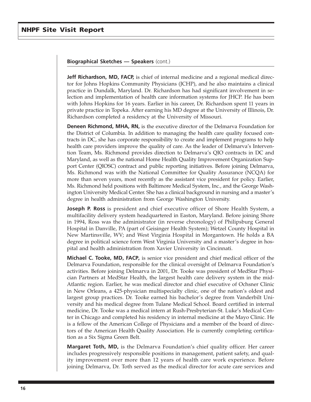**Jeff Richardson, MD, FACP,** is chief of internal medicine and a regional medical director for Johns Hopkins Community Physicians (JCHP), and he also maintains a clinical practice in Dundalk, Maryland. Dr. Richardson has had significant involvement in selection and implementation of health care information systems for JHCP. He has been with Johns Hopkins for 16 years. Earlier in his career, Dr. Richardson spent 11 years in private practice in Topeka. After earning his MD degree at the University of Illinois, Dr. Richardson completed a residency at the University of Missouri.

**Deneen Richmond, MHA, RN,** is the executive director of the Delmarva Foundation for the District of Columbia. In addition to managing the health care quality focused contracts in DC, she has corporate responsibility to create and implement programs to help health care providers improve the quality of care. As the leader of Delmarva's Intervention Team, Ms. Richmond provides direction to Delmarva's QIO contracts in DC and Maryland, as well as the national Home Health Quality Improvement Organization Support Center (QIOSC) contract and public reporting initiatives. Before joining Delmarva, Ms. Richmond was with the National Committee for Quality Assurance (NCQA) for more than seven years, most recently as the assistant vice president for policy. Earlier, Ms. Richmond held positions with Baltimore Medical System, Inc., and the George Washington University Medical Center. She has a clinical background in nursing and a master's degree in health administration from George Washington University.

**Joseph P. Ross** is president and chief executive officer of Shore Health System, a multifacility delivery system headquartered in Easton, Maryland. Before joining Shore in 1994, Ross was the administrator (in reverse chronology) of Philipsburg General Hospital in Danville, PA (part of Geisinger Health System); Wetzel County Hospital in New Martinsville, WV; and West Virginia Hospital in Morgantown. He holds a BA degree in political science form West Virginia University and a master's degree in hospital and health administration from Xavier University in Cincinnati.

**Michael C. Tooke, MD, FACP***,* is senior vice president and chief medical officer of the Delmarva Foundation, responsible for the clinical oversight of Delmarva Foundation's activities. Before joining Delmarva in 2001, Dr. Tooke was president of MedStar Physician Partners at MedStar Health, the largest health care delivery system in the mid-Atlantic region. Earlier, he was medical director and chief executive of Ochsner Clinic in New Orleans, a 425-physician multispecialty clinic, one of the nation's oldest and largest group practices. Dr. Tooke earned his bachelor's degree from Vanderbilt University and his medical degree from Tulane Medical School. Board certified in internal medicine, Dr. Tooke was a medical intern at Rush-Presbyterian-St. Luke's Medical Center in Chicago and completed his residency in internal medicine at the Mayo Clinic. He is a fellow of the American College of Physicians and a member of the board of directors of the American Health Quality Association. He is currently completing certification as a Six Sigma Green Belt.

**Margaret Toth, MD,** is the Delmarva Foundation's chief quality officer. Her career includes progressively responsible positions in management, patient safety, and quality improvement over more than 12 years of health care work experience. Before joining Delmarva, Dr. Toth served as the medical director for acute care services and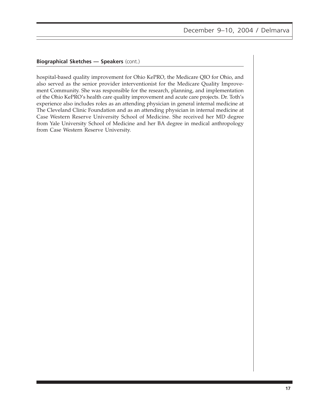hospital-based quality improvement for Ohio KePRO, the Medicare QIO for Ohio, and also served as the senior provider interventionist for the Medicare Quality Improvement Community. She was responsible for the research, planning, and implementation of the Ohio KePRO's health care quality improvement and acute care projects. Dr. Toth's experience also includes roles as an attending physician in general internal medicine at The Cleveland Clinic Foundation and as an attending physician in internal medicine at Case Western Reserve University School of Medicine. She received her MD degree from Yale University School of Medicine and her BA degree in medical anthropology from Case Western Reserve University.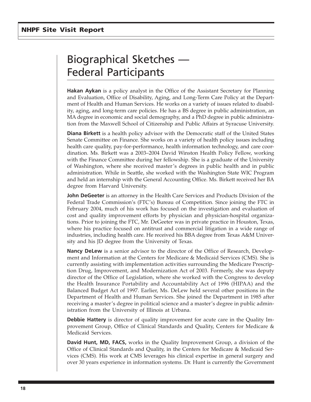# <span id="page-20-0"></span>Biographical Sketches — Federal Participants

**Hakan Aykan** is a policy analyst in the Office of the Assistant Secretary for Planning and Evaluation, Office of Disability, Aging, and Long-Term Care Policy at the Department of Health and Human Services. He works on a variety of issues related to disability, aging, and long-term care policies. He has a BS degree in public administration, an MA degree in economic and social demography, and a PhD degree in public administration from the Maxwell School of Citizenship and Public Affairs at Syracuse University.

**Diana Birkett** is a health policy advisor with the Democratic staff of the United States Senate Committee on Finance. She works on a variety of health policy issues including health care quality, pay-for-performance, health information technology, and care coordination. Ms. Birkett was a 2003–2004 David Winston Health Policy Fellow, working with the Finance Committee during her fellowship. She is a graduate of the University of Washington, where she received master's degrees in public health and in public administration. While in Seattle, she worked with the Washington State WIC Program and held an internship with the General Accounting Office. Ms. Birkett received her BA degree from Harvard University.

**John DeGeeter** is an attorney in the Health Care Services and Products Division of the Federal Trade Commission's (FTC's) Bureau of Competition. Since joining the FTC in February 2004, much of his work has focused on the investigation and evaluation of cost and quality improvement efforts by physician and physician-hospital organizations. Prior to joining the FTC, Mr. DeGeeter was in private practice in Houston, Texas, where his practice focused on antitrust and commercial litigation in a wide range of industries, including health care. He received his BBA degree from Texas A&M University and his JD degree from the University of Texas.

**Nancy DeLew** is a senior advisor to the director of the Office of Research, Development and Information at the Centers for Medicare & Medicaid Services (CMS). She is currently assisting with implementation activities surrounding the Medicare Prescription Drug, Improvement, and Modernization Act of 2003. Formerly, she was deputy director of the Office of Legislation, where she worked with the Congress to develop the Health Insurance Portability and Accountability Act of 1996 (HIPAA) and the Balanced Budget Act of 1997. Earlier, Ms. DeLew held several other positions in the Department of Health and Human Services. She joined the Department in 1985 after receiving a master's degree in political science and a master's degree in public administration from the University of Illinois at Urbana.

**Debbie Hattery** is director of quality improvement for acute care in the Quality Improvement Group, Office of Clinical Standards and Quality, Centers for Medicare & Medicaid Services.

**David Hunt, MD, FACS,** works in the Quality Improvement Group, a division of the Office of Clinical Standards and Quality, in the Centers for Medicare & Medicaid Services (CMS). His work at CMS leverages his clinical expertise in general surgery and over 30 years experience in information systems. Dr. Hunt is currently the Government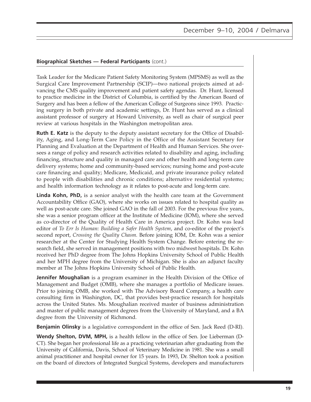#### **Biographical Sketches — Federal Participants** (cont.)

Task Leader for the Medicare Patient Safety Monitoring System (MPSMS) as well as the Surgical Care Improvement Partnership (SCIP)—two national projects aimed at advancing the CMS quality improvement and patient safety agendas. Dr. Hunt, licensed to practice medicine in the District of Columbia, is certified by the American Board of Surgery and has been a fellow of the American College of Surgeons since 1993. Practicing surgery in both private and academic settings, Dr. Hunt has served as a clinical assistant professor of surgery at Howard University, as well as chair of surgical peer review at various hospitals in the Washington metropolitan area.

**Ruth E. Katz** is the deputy to the deputy assistant secretary for the Office of Disability, Aging, and Long-Term Care Policy in the Office of the Assistant Secretary for Planning and Evaluation at the Department of Health and Human Services. She oversees a range of policy and research activities related to disability and aging, including financing, structure and quality in managed care and other health and long-term care delivery systems; home and community-based services; nursing home and post-acute care financing and quality; Medicare, Medicaid, and private insurance policy related to people with disabilities and chronic conditions; alternative residential systems; and health information technology as it relates to post-acute and long-term care.

**Linda Kohn, PhD,** is a senior analyst with the health care team at the Government Accountability Office (GAO), where she works on issues related to hospital quality as well as post-acute care. She joined GAO in the fall of 2003. For the previous five years, she was a senior program officer at the Institute of Medicine (IOM), where she served as co-director of the Quality of Health Care in America project. Dr. Kohn was lead editor of *To Err Is Human: Building a Safer Health System*, and co-editor of the project's second report, *Crossing the Quality Chasm*. Before joining IOM, Dr. Kohn was a senior researcher at the Center for Studying Health System Change. Before entering the research field, she served in management positions with two midwest hospitals. Dr. Kohn received her PhD degree from The Johns Hopkins University School of Public Health and her MPH degree from the University of Michigan. She is also an adjunct faculty member at The Johns Hopkins University School of Public Health.

**Jennifer Moughalian** is a program examiner in the Health Division of the Office of Management and Budget (OMB), where she manages a portfolio of Medicare issues. Prior to joining OMB, she worked with The Advisory Board Company, a health care consulting firm in Washington, DC, that provides best-practice research for hospitals across the United States. Ms. Moughalian received master of business administration and master of public management degrees from the University of Maryland, and a BA degree from the University of Richmond.

**Benjamin Olinsky** is a legislative correspondent in the office of Sen. Jack Reed (D-RI).

**Wendy Shelton, DVM, MPH,** is a health fellow in the office of Sen. Joe Lieberman (D-CT). She began her professional life as a practicing veterinarian after graduating from the University of California, Davis, School of Veterinary Medicine in 1981. She was a small animal practitioner and hospital owner for 15 years. In 1993, Dr. Shelton took a position on the board of directors of Integrated Surgical Systems, developers and manufacturers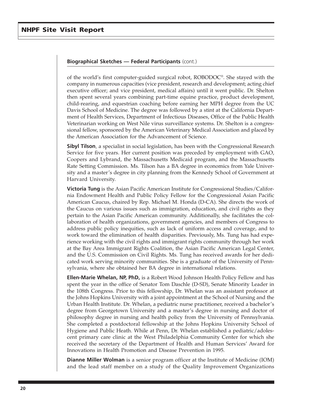#### **Biographical Sketches — Federal Participants** (cont.)

of the world's first computer-guided surgical robot, ROBODOC®. She stayed with the company in numerous capacities (vice president, research and development; acting chief executive officer; and vice president, medical affairs) until it went public. Dr. Shelton then spent several years combining part-time equine practice, product development, child-rearing, and equestrian coaching before earning her MPH degree from the UC Davis School of Medicine. The degree was followed by a stint at the California Department of Health Services, Department of Infectious Diseases, Office of the Public Health Veterinarian working on West Nile virus surveillance systems. Dr. Shelton is a congressional fellow, sponsored by the American Veterinary Medical Association and placed by the American Association for the Advancement of Science.

**Sibyl Tilson**, a specialist in social legislation, has been with the Congressional Research Service for five years. Her current position was preceded by employment with GAO, Coopers and Lybrand, the Massachusetts Medicaid program, and the Massachusetts Rate Setting Commission. Ms. Tilson has a BA degree in economics from Yale University and a master's degree in city planning from the Kennedy School of Government at Harvard University.

**Victoria Tung** is the Asian Pacific American Institute for Congressional Studies/California Endowment Health and Public Policy Fellow for the Congressional Asian Pacific American Caucus, chaired by Rep. Michael M. Honda (D-CA). She directs the work of the Caucus on various issues such as immigration, education, and civil rights as they pertain to the Asian Pacific American community. Additionally, she facilitates the collaboration of health organizations, government agencies, and members of Congress to address public policy inequities, such as lack of uniform access and coverage, and to work toward the elimination of health disparities. Previously, Ms. Tung has had experience working with the civil rights and immigrant rights community through her work at the Bay Area Immigrant Rights Coalition, the Asian Pacific American Legal Center, and the U.S. Commission on Civil Rights. Ms. Tung has received awards for her dedicated work serving minority communities. She is a graduate of the University of Pennsylvania, where she obtained her BA degree in international relations.

**Ellen-Marie Whelan, NP, PhD,** is a Robert Wood Johnson Health Policy Fellow and has spent the year in the office of Senator Tom Daschle (D-SD), Senate Minority Leader in the 108th Congress. Prior to this fellowship, Dr. Whelan was an assistant professor at the Johns Hopkins University with a joint appointment at the School of Nursing and the Urban Health Institute. Dr. Whelan, a pediatric nurse practitioner, received a bachelor's degree from Georgetown University and a master's degree in nursing and doctor of philosophy degree in nursing and health policy from the University of Pennsylvania. She completed a postdoctoral fellowship at the Johns Hopkins University School of Hygiene and Public Heath. While at Penn, Dr. Whelan established a pediatric/adolescent primary care clinic at the West Philadelphia Community Center for which she received the secretary of the Department of Health and Human Services' Award for Innovations in Health Promotion and Disease Prevention in 1995.

**Dianne Miller Wolman** is a senior program officer at the Institute of Medicine (IOM) and the lead staff member on a study of the Quality Improvement Organizations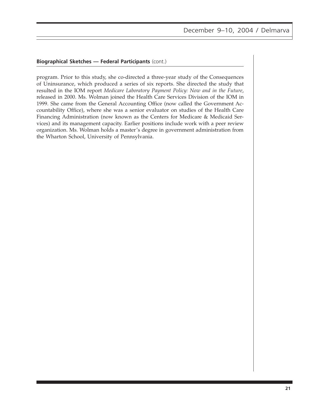#### **Biographical Sketches — Federal Participants** (cont.)

program. Prior to this study, she co-directed a three-year study of the Consequences of Uninsurance, which produced a series of six reports. She directed the study that resulted in the IOM report *Medicare Laboratory Payment Policy: Now and in the Future*, released in 2000. Ms. Wolman joined the Health Care Services Division of the IOM in 1999. She came from the General Accounting Office (now called the Government Accountability Office), where she was a senior evaluator on studies of the Health Care Financing Administration (now known as the Centers for Medicare & Medicaid Services) and its management capacity. Earlier positions include work with a peer review organization. Ms. Wolman holds a master's degree in government administration from the Wharton School, University of Pennsylvania.